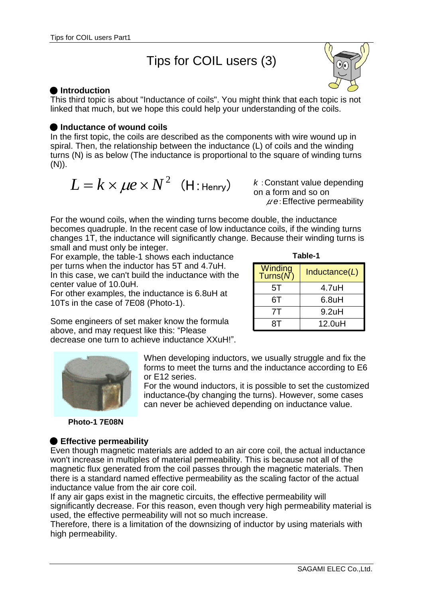# Tips for COIL users (3)



# **Introduction**

This third topic is about "Inductance of coils". You might think that each topic is not linked that much, but we hope this could help your understanding of the coils.

## **Inductance of wound coils**

In the first topic, the coils are described as the components with wire wound up in spiral. Then, the relationship between the inductance (L) of coils and the winding turns (N) is as below (The inductance is proportional to the square of winding turns  $(N)$ ).

$$
L = k \times \mu e \times N^2 \quad \text{(H: Henry)}
$$

*k* :Constant value depending on a form and so on <sup>μ</sup>*e*:Effective permeability

For the wound coils, when the winding turns become double, the inductance becomes quadruple. In the recent case of low inductance coils, if the winding turns changes 1T, the inductance will significantly change. Because their winding turns is small and must only be integer.

For example, the table-1 shows each inductance per turns when the inductor has 5T and 4.7uH. In this case, we can't build the inductance with the center value of 10.0uH.

For other examples, the inductance is 6.8uH at 10Ts in the case of 7E08 (Photo-1).

| Table-1             |                    |  |  |  |
|---------------------|--------------------|--|--|--|
| Winding<br>Turns(N) | Inductance(L)      |  |  |  |
| 5T                  | 4.7uH              |  |  |  |
| 6T                  | $6.8$ uH           |  |  |  |
| 71                  | 9.2 <sub>u</sub> H |  |  |  |
| RТ                  | 12.0uH             |  |  |  |

Some engineers of set maker know the formula above, and may request like this: "Please decrease one turn to achieve inductance XXuH!".



When developing inductors, we usually struggle and fix the forms to meet the turns and the inductance according to E6 or E12 series.

For the wound inductors, it is possible to set the customized inductance (by changing the turns). However, some cases can never be achieved depending on inductance value.

**Photo-1 7E08N**

# **Effective permeability**

Even though magnetic materials are added to an air core coil, the actual inductance won't increase in multiples of material permeability. This is because not all of the magnetic flux generated from the coil passes through the magnetic materials. Then there is a standard named effective permeability as the scaling factor of the actual inductance value from the air core coil.

If any air gaps exist in the magnetic circuits, the effective permeability will significantly decrease. For this reason, even though very high permeability material is used, the effective permeability will not so much increase.

Therefore, there is a limitation of the downsizing of inductor by using materials with high permeability.